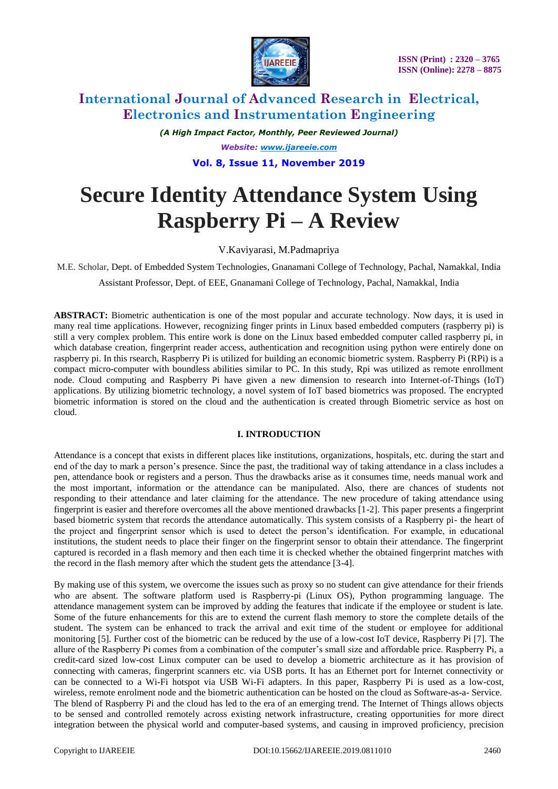

*(A High Impact Factor, Monthly, Peer Reviewed Journal) Website: [www.ijareeie.com](http://www.ijareeie.com/)* **Vol. 8, Issue 11, November 2019**

# **Secure Identity Attendance System Using Raspberry Pi – A Review**

V.Kaviyarasi, M.Padmapriya

M.E. Scholar, Dept. of Embedded System Technologies, Gnanamani College of Technology, Pachal, Namakkal, India

Assistant Professor, Dept. of EEE, Gnanamani College of Technology, Pachal, Namakkal, India

**ABSTRACT:** Biometric authentication is one of the most popular and accurate technology. Now days, it is used in many real time applications. However, recognizing finger prints in Linux based embedded computers (raspberry pi) is still a very complex problem. This entire work is done on the Linux based embedded computer called raspberry pi, in which database creation, fingerprint reader access, authentication and recognition using python were entirely done on raspberry pi. In this rsearch, Raspberry Pi is utilized for building an economic biometric system. Raspberry Pi (RPi) is a compact micro-computer with boundless abilities similar to PC. In this study, Rpi was utilized as remote enrollment node. Cloud computing and Raspberry Pi have given a new dimension to research into Internet-of-Things (IoT) applications. By utilizing biometric technology, a novel system of IoT based biometrics was proposed. The encrypted biometric information is stored on the cloud and the authentication is created through Biometric service as host on cloud.

### **I. INTRODUCTION**

Attendance is a concept that exists in different places like institutions, organizations, hospitals, etc. during the start and end of the day to mark a person's presence. Since the past, the traditional way of taking attendance in a class includes a pen, attendance book or registers and a person. Thus the drawbacks arise as it consumes time, needs manual work and the most important, information or the attendance can be manipulated. Also, there are chances of students not responding to their attendance and later claiming for the attendance. The new procedure of taking attendance using fingerprint is easier and therefore overcomes all the above mentioned drawbacks [1-2]. This paper presents a fingerprint based biometric system that records the attendance automatically. This system consists of a Raspberry pi- the heart of the project and fingerprint sensor which is used to detect the person's identification. For example, in educational institutions, the student needs to place their finger on the fingerprint sensor to obtain their attendance. The fingerprint captured is recorded in a flash memory and then each time it is checked whether the obtained fingerprint matches with the record in the flash memory after which the student gets the attendance [3-4].

By making use of this system, we overcome the issues such as proxy so no student can give attendance for their friends who are absent. The software platform used is Raspberry-pi (Linux OS), Python programming language. The attendance management system can be improved by adding the features that indicate if the employee or student is late. Some of the future enhancements for this are to extend the current flash memory to store the complete details of the student. The system can be enhanced to track the arrival and exit time of the student or employee for additional monitoring [5]. Further cost of the biometric can be reduced by the use of a low-cost IoT device, Raspberry Pi [7]. The allure of the Raspberry Pi comes from a combination of the computer's small size and affordable price. Raspberry Pi, a credit-card sized low-cost Linux computer can be used to develop a biometric architecture as it has provision of connecting with cameras, fingerprint scanners etc. via USB ports. It has an Ethernet port for Internet connectivity or can be connected to a Wi-Fi hotspot via USB Wi-Fi adapters. In this paper, Raspberry Pi is used as a low-cost, wireless, remote enrolment node and the biometric authentication can be hosted on the cloud as Software-as-a- Service. The blend of Raspberry Pi and the cloud has led to the era of an emerging trend. The Internet of Things allows objects to be sensed and controlled remotely across existing network infrastructure, creating opportunities for more direct integration between the physical world and computer-based systems, and causing in improved proficiency, precision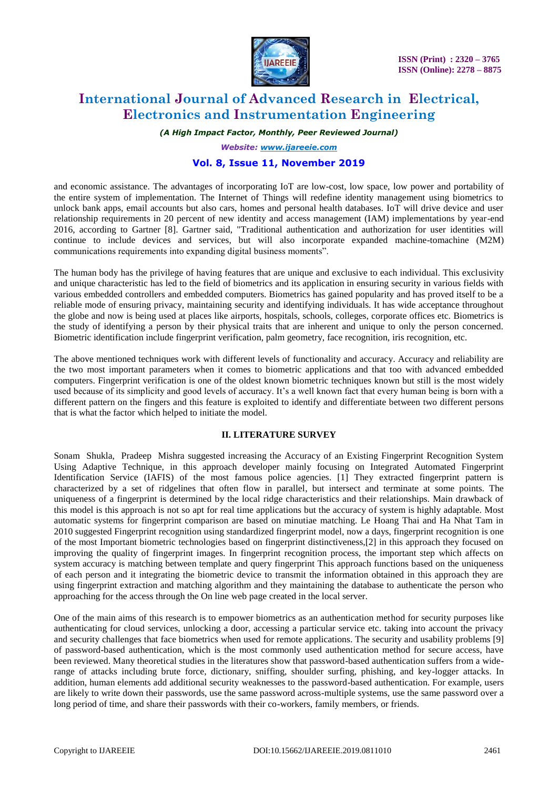

*(A High Impact Factor, Monthly, Peer Reviewed Journal)*

*Website: [www.ijareeie.com](http://www.ijareeie.com/)*

### **Vol. 8, Issue 11, November 2019**

and economic assistance. The advantages of incorporating IoT are low-cost, low space, low power and portability of the entire system of implementation. The Internet of Things will redefine identity management using biometrics to unlock bank apps, email accounts but also cars, homes and personal health databases. IoT will drive device and user relationship requirements in 20 percent of new identity and access management (IAM) implementations by year-end 2016, according to Gartner [8]. Gartner said, "Traditional authentication and authorization for user identities will continue to include devices and services, but will also incorporate expanded machine-tomachine (M2M) communications requirements into expanding digital business moments".

The human body has the privilege of having features that are unique and exclusive to each individual. This exclusivity and unique characteristic has led to the field of biometrics and its application in ensuring security in various fields with various embedded controllers and embedded computers. Biometrics has gained popularity and has proved itself to be a reliable mode of ensuring privacy, maintaining security and identifying individuals. It has wide acceptance throughout the globe and now is being used at places like airports, hospitals, schools, colleges, corporate offices etc. Biometrics is the study of identifying a person by their physical traits that are inherent and unique to only the person concerned. Biometric identification include fingerprint verification, palm geometry, face recognition, iris recognition, etc.

The above mentioned techniques work with different levels of functionality and accuracy. Accuracy and reliability are the two most important parameters when it comes to biometric applications and that too with advanced embedded computers. Fingerprint verification is one of the oldest known biometric techniques known but still is the most widely used because of its simplicity and good levels of accuracy. It's a well known fact that every human being is born with a different pattern on the fingers and this feature is exploited to identify and differentiate between two different persons that is what the factor which helped to initiate the model.

#### **II. LITERATURE SURVEY**

Sonam Shukla, Pradeep Mishra suggested increasing the Accuracy of an Existing Fingerprint Recognition System Using Adaptive Technique, in this approach developer mainly focusing on Integrated Automated Fingerprint Identification Service (IAFIS) of the most famous police agencies. [1] They extracted fingerprint pattern is characterized by a set of ridgelines that often flow in parallel, but intersect and terminate at some points. The uniqueness of a fingerprint is determined by the local ridge characteristics and their relationships. Main drawback of this model is this approach is not so apt for real time applications but the accuracy of system is highly adaptable. Most automatic systems for fingerprint comparison are based on minutiae matching. Le Hoang Thai and Ha Nhat Tam in 2010 suggested Fingerprint recognition using standardized fingerprint model, now a days, fingerprint recognition is one of the most Important biometric technologies based on fingerprint distinctiveness,[2] in this approach they focused on improving the quality of fingerprint images. In fingerprint recognition process, the important step which affects on system accuracy is matching between template and query fingerprint This approach functions based on the uniqueness of each person and it integrating the biometric device to transmit the information obtained in this approach they are using fingerprint extraction and matching algorithm and they maintaining the database to authenticate the person who approaching for the access through the On line web page created in the local server.

One of the main aims of this research is to empower biometrics as an authentication method for security purposes like authenticating for cloud services, unlocking a door, accessing a particular service etc. taking into account the privacy and security challenges that face biometrics when used for remote applications. The security and usability problems [9] of password-based authentication, which is the most commonly used authentication method for secure access, have been reviewed. Many theoretical studies in the literatures show that password-based authentication suffers from a widerange of attacks including brute force, dictionary, sniffing, shoulder surfing, phishing, and key-logger attacks. In addition, human elements add additional security weaknesses to the password-based authentication. For example, users are likely to write down their passwords, use the same password across-multiple systems, use the same password over a long period of time, and share their passwords with their co-workers, family members, or friends.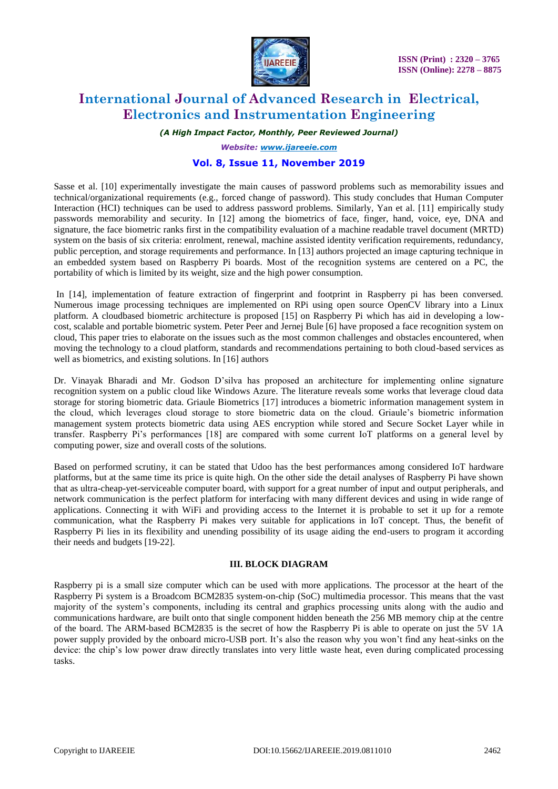

*(A High Impact Factor, Monthly, Peer Reviewed Journal)*

*Website: [www.ijareeie.com](http://www.ijareeie.com/)*

### **Vol. 8, Issue 11, November 2019**

Sasse et al. [10] experimentally investigate the main causes of password problems such as memorability issues and technical/organizational requirements (e.g., forced change of password). This study concludes that Human Computer Interaction (HCI) techniques can be used to address password problems. Similarly, Yan et al. [11] empirically study passwords memorability and security. In [12] among the biometrics of face, finger, hand, voice, eye, DNA and signature, the face biometric ranks first in the compatibility evaluation of a machine readable travel document (MRTD) system on the basis of six criteria: enrolment, renewal, machine assisted identity verification requirements, redundancy, public perception, and storage requirements and performance. In [13] authors projected an image capturing technique in an embedded system based on Raspberry Pi boards. Most of the recognition systems are centered on a PC, the portability of which is limited by its weight, size and the high power consumption.

In [14], implementation of feature extraction of fingerprint and footprint in Raspberry pi has been conversed. Numerous image processing techniques are implemented on RPi using open source OpenCV library into a Linux platform. A cloudbased biometric architecture is proposed [15] on Raspberry Pi which has aid in developing a lowcost, scalable and portable biometric system. Peter Peer and Jernej Bule [6] have proposed a face recognition system on cloud, This paper tries to elaborate on the issues such as the most common challenges and obstacles encountered, when moving the technology to a cloud platform, standards and recommendations pertaining to both cloud-based services as well as biometrics, and existing solutions. In [16] authors

Dr. Vinayak Bharadi and Mr. Godson D'silva has proposed an architecture for implementing online signature recognition system on a public cloud like Windows Azure. The literature reveals some works that leverage cloud data storage for storing biometric data. Griaule Biometrics [17] introduces a biometric information management system in the cloud, which leverages cloud storage to store biometric data on the cloud. Griaule's biometric information management system protects biometric data using AES encryption while stored and Secure Socket Layer while in transfer. Raspberry Pi's performances [18] are compared with some current IoT platforms on a general level by computing power, size and overall costs of the solutions.

Based on performed scrutiny, it can be stated that Udoo has the best performances among considered IoT hardware platforms, but at the same time its price is quite high. On the other side the detail analyses of Raspberry Pi have shown that as ultra-cheap-yet-serviceable computer board, with support for a great number of input and output peripherals, and network communication is the perfect platform for interfacing with many different devices and using in wide range of applications. Connecting it with WiFi and providing access to the Internet it is probable to set it up for a remote communication, what the Raspberry Pi makes very suitable for applications in IoT concept. Thus, the benefit of Raspberry Pi lies in its flexibility and unending possibility of its usage aiding the end-users to program it according their needs and budgets [19-22].

#### **III. BLOCK DIAGRAM**

Raspberry pi is a small size computer which can be used with more applications. The processor at the heart of the Raspberry Pi system is a Broadcom BCM2835 system-on-chip (SoC) multimedia processor. This means that the vast majority of the system's components, including its central and graphics processing units along with the audio and communications hardware, are built onto that single component hidden beneath the 256 MB memory chip at the centre of the board. The ARM-based BCM2835 is the secret of how the Raspberry Pi is able to operate on just the 5V 1A power supply provided by the onboard micro-USB port. It's also the reason why you won't find any heat-sinks on the device: the chip's low power draw directly translates into very little waste heat, even during complicated processing tasks.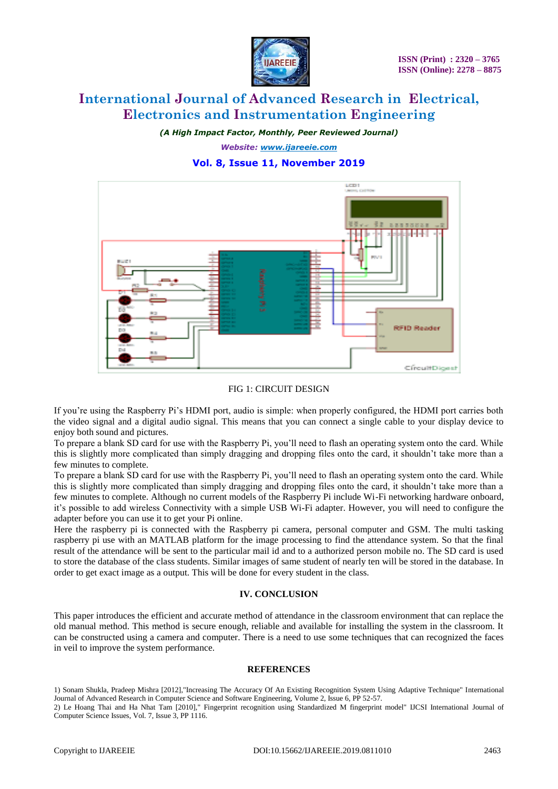

*(A High Impact Factor, Monthly, Peer Reviewed Journal)*

*Website: [www.ijareeie.com](http://www.ijareeie.com/)* **Vol. 8, Issue 11, November 2019**



### FIG 1: CIRCUIT DESIGN

If you're using the Raspberry Pi's HDMI port, audio is simple: when properly configured, the HDMI port carries both the video signal and a digital audio signal. This means that you can connect a single cable to your display device to enjoy both sound and pictures.

To prepare a blank SD card for use with the Raspberry Pi, you'll need to flash an operating system onto the card. While this is slightly more complicated than simply dragging and dropping files onto the card, it shouldn't take more than a few minutes to complete.

To prepare a blank SD card for use with the Raspberry Pi, you'll need to flash an operating system onto the card. While this is slightly more complicated than simply dragging and dropping files onto the card, it shouldn't take more than a few minutes to complete. Although no current models of the Raspberry Pi include Wi-Fi networking hardware onboard, it's possible to add wireless Connectivity with a simple USB Wi-Fi adapter. However, you will need to configure the adapter before you can use it to get your Pi online.

Here the raspberry pi is connected with the Raspberry pi camera, personal computer and GSM. The multi tasking raspberry pi use with an MATLAB platform for the image processing to find the attendance system. So that the final result of the attendance will be sent to the particular mail id and to a authorized person mobile no. The SD card is used to store the database of the class students. Similar images of same student of nearly ten will be stored in the database. In order to get exact image as a output. This will be done for every student in the class.

#### **IV. CONCLUSION**

This paper introduces the efficient and accurate method of attendance in the classroom environment that can replace the old manual method. This method is secure enough, reliable and available for installing the system in the classroom. It can be constructed using a camera and computer. There is a need to use some techniques that can recognized the faces in veil to improve the system performance.

#### **REFERENCES**

1) Sonam Shukla, Pradeep Mishra [2012],"Increasing The Accuracy Of An Existing Recognition System Using Adaptive Technique" International Journal of Advanced Research in Computer Science and Software Engineering, Volume 2, Issue 6, PP 52-57.

<sup>2)</sup> Le Hoang Thai and Ha Nhat Tam [2010]," Fingerprint recognition using Standardized M fingerprint model" IJCSI International Journal of Computer Science Issues, Vol. 7, Issue 3, PP 1116.